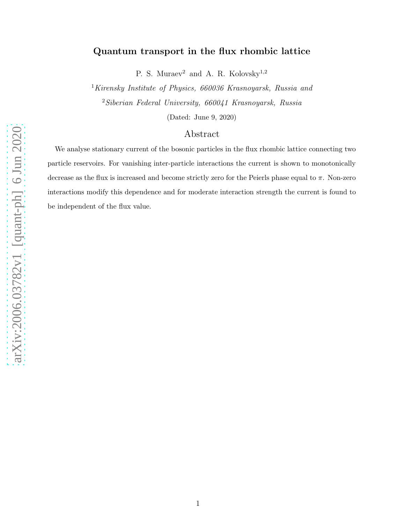# Quantum transport in the flux rhombic lattice

P. S. Muraev<sup>2</sup> and A. R. Kolovsky<sup>1,2</sup>

<sup>1</sup>Kirensky Institute of Physics,  $660036$  Krasnoyarsk, Russia and <sup>2</sup>Siberian Federal University, 660041 Krasnoyarsk, Russia

(Dated: June 9, 2020)

## Abstract

We analyse stationary current of the bosonic particles in the flux rhombic lattice connecting two particle reservoirs. For vanishing inter-particle interactions the current is shown to monotonically decrease as the flux is increased and become strictly zero for the Peierls phase equal to  $\pi$ . Non-zero interactions modify this dependence and for moderate interaction strength the current is found to be independent of the flux value.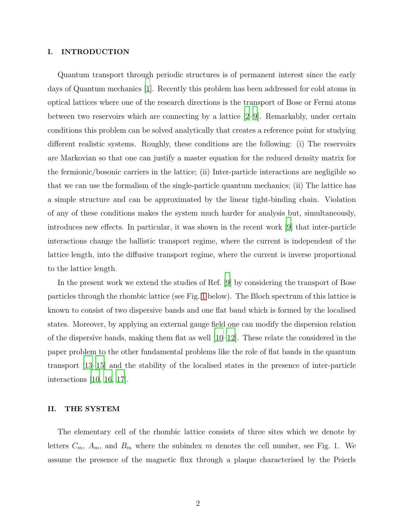#### I. INTRODUCTION

Quantum transport through periodic structures is of permanent interest since the early days of Quantum mechanics [\[1\]](#page-8-0). Recently this problem has been addressed for cold atoms in optical lattices where one of the research directions is the transport of Bose or Fermi atoms between two reservoirs which are connecting by a lattice  $[2-9]$ . Remarkably, under certain conditions this problem can be solved analytically that creates a reference point for studying different realistic systems. Roughly, these conditions are the following: (i) The reservoirs are Markovian so that one can justify a master equation for the reduced density matrix for the fermionic/bosonic carriers in the lattice; (ii) Inter-particle interactions are negligible so that we can use the formalism of the single-particle quantum mechanics; (ii) The lattice has a simple structure and can be approximated by the linear tight-binding chain. Violation of any of these conditions makes the system much harder for analysis but, simultaneously, introduces new effects. In particular, it was shown in the recent work [\[9\]](#page-8-2) that inter-particle interactions change the ballistic transport regime, where the current is independent of the lattice length, into the diffusive transport regime, where the current is inverse proportional to the lattice length.

In the present work we extend the studies of Ref. [\[9\]](#page-8-2) by considering the transport of Bose particles through the rhombic lattice (see Fig. [1](#page-2-0) below). The Bloch spectrum of this lattice is known to consist of two dispersive bands and one flat band which is formed by the localised states. Moreover, by applying an external gauge field one can modify the dispersion relation of the dispersive bands, making them flat as well  $[10-12]$ . These relate the considered in the paper problem to the other fundamental problems like the role of flat bands in the quantum transport [\[13](#page-8-5)[–15](#page-9-0)] and the stability of the localised states in the presence of inter-particle interactions [\[10](#page-8-3), [16](#page-9-1), [17](#page-9-2)].

#### II. THE SYSTEM

The elementary cell of the rhombic lattice consists of three sites which we denote by letters  $C_m$ ,  $A_m$ , and  $B_m$  where the subindex m denotes the cell number, see Fig. 1. We assume the presence of the magnetic flux through a plaque characterised by the Peierls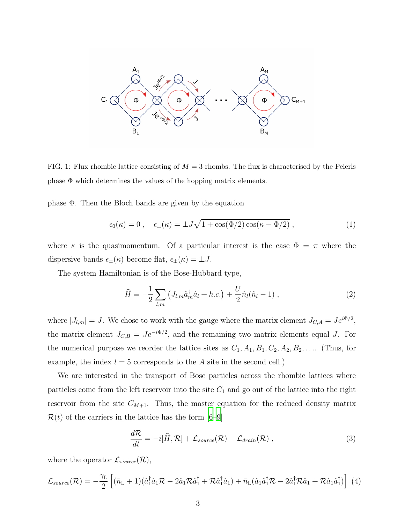

<span id="page-2-0"></span>FIG. 1: Flux rhombic lattice consisting of  $M = 3$  rhombs. The flux is characterised by the Peierls phase  $\Phi$  which determines the values of the hopping matrix elements.

phase Φ. Then the Bloch bands are given by the equation

$$
\epsilon_0(\kappa) = 0 \;, \quad \epsilon_{\pm}(\kappa) = \pm J\sqrt{1 + \cos(\Phi/2)\cos(\kappa - \Phi/2)} \;, \tag{1}
$$

where  $\kappa$  is the quasimomentum. Of a particular interest is the case  $\Phi = \pi$  where the dispersive bands  $\epsilon_{\pm}(\kappa)$  become flat,  $\epsilon_{\pm}(\kappa) = \pm J$ .

The system Hamiltonian is of the Bose-Hubbard type,

<span id="page-2-2"></span>
$$
\widehat{H} = -\frac{1}{2} \sum_{l,m} \left( J_{l,m} \hat{a}_m^{\dagger} \hat{a}_l + h.c. \right) + \frac{U}{2} \hat{n}_l (\hat{n}_l - 1) , \qquad (2)
$$

where  $|J_{l,m}| = J$ . We chose to work with the gauge where the matrix element  $J_{C,A} = Je^{i\Phi/2}$ , the matrix element  $J_{C,B} = Je^{-i\Phi/2}$ , and the remaining two matrix elements equal J. For the numerical purpose we reorder the lattice sites as  $C_1$ ,  $A_1$ ,  $B_1$ ,  $C_2$ ,  $A_2$ ,  $B_2$ , .... (Thus, for example, the index  $l = 5$  corresponds to the A site in the second cell.)

We are interested in the transport of Bose particles across the rhombic lattices where particles come from the left reservoir into the site  $C_1$  and go out of the lattice into the right reservoir from the site  $C_{M+1}$ . Thus, the master equation for the reduced density matrix  $\mathcal{R}(t)$  of the carriers in the lattice has the form  $|6-9|$ 

<span id="page-2-1"></span>
$$
\frac{d\mathcal{R}}{dt} = -i[\hat{H}, \mathcal{R}] + \mathcal{L}_{source}(\mathcal{R}) + \mathcal{L}_{drain}(\mathcal{R}), \qquad (3)
$$

where the operator  $\mathcal{L}_{source}(\mathcal{R}),$ 

$$
\mathcal{L}_{source}(\mathcal{R}) = -\frac{\gamma_L}{2} \left[ (\bar{n}_L + 1)(\hat{a}_1^{\dagger} \hat{a}_1 \mathcal{R} - 2\hat{a}_1 \mathcal{R} \hat{a}_1^{\dagger} + \mathcal{R} \hat{a}_1^{\dagger} \hat{a}_1) + \bar{n}_L (\hat{a}_1 \hat{a}_1^{\dagger} \mathcal{R} - 2\hat{a}_1^{\dagger} \mathcal{R} \hat{a}_1 + \mathcal{R} \hat{a}_1 \hat{a}_1^{\dagger}) \right] (4)
$$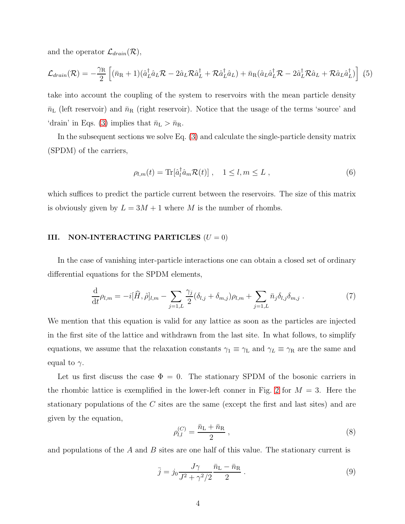and the operator  $\mathcal{L}_{drain}(\mathcal{R}),$ 

$$
\mathcal{L}_{\text{drain}}(\mathcal{R}) = -\frac{\gamma_{\rm R}}{2} \left[ (\bar{n}_{\rm R} + 1)(\hat{a}_{L}^{\dagger} \hat{a}_{L} \mathcal{R} - 2\hat{a}_{L} \mathcal{R} \hat{a}_{L}^{\dagger} + \mathcal{R} \hat{a}_{L}^{\dagger} \hat{a}_{L}) + \bar{n}_{\rm R} (\hat{a}_{L} \hat{a}_{L}^{\dagger} \mathcal{R} - 2\hat{a}_{L}^{\dagger} \mathcal{R} \hat{a}_{L} + \mathcal{R} \hat{a}_{L} \hat{a}_{L}^{\dagger}) \right] (5)
$$

take into account the coupling of the system to reservoirs with the mean particle density  $\bar{n}_L$  (left reservoir) and  $\bar{n}_R$  (right reservoir). Notice that the usage of the terms 'source' and 'drain' in Eqs. [\(3\)](#page-2-1) implies that  $\bar{n}_{\rm L} > \bar{n}_{\rm R}$ .

In the subsequent sections we solve Eq. [\(3\)](#page-2-1) and calculate the single-particle density matrix (SPDM) of the carriers,

$$
\rho_{l,m}(t) = \text{Tr}[\hat{a}_l^\dagger \hat{a}_m \mathcal{R}(t)], \quad 1 \le l, m \le L \,, \tag{6}
$$

which suffices to predict the particle current between the reservoirs. The size of this matrix is obviously given by  $L = 3M + 1$  where M is the number of rhombs.

#### III. NON-INTERACTING PARTICLES  $(U = 0)$

In the case of vanishing inter-particle interactions one can obtain a closed set of ordinary differential equations for the SPDM elements,

$$
\frac{\mathrm{d}}{\mathrm{d}t}\rho_{l,m} = -i[\widehat{H},\widehat{\rho}]_{l,m} - \sum_{j=1,L} \frac{\gamma_j}{2} (\delta_{l,j} + \delta_{m,j})\rho_{l,m} + \sum_{j=1,L} \bar{n}_j \delta_{l,j} \delta_{m,j} . \tag{7}
$$

We mention that this equation is valid for any lattice as soon as the particles are injected in the first site of the lattice and withdrawn from the last site. In what follows, to simplify equations, we assume that the relaxation constants  $\gamma_1 \equiv \gamma_L$  and  $\gamma_L \equiv \gamma_R$  are the same and equal to  $\gamma$ .

Let us first discuss the case  $\Phi = 0$ . The stationary SPDM of the bosonic carriers in the rhombic lattice is exemplified in the lower-left conner in Fig. [2](#page-4-0) for  $M = 3$ . Here the stationary populations of the C sites are the same (except the first and last sites) and are given by the equation,

$$
\rho_{l,l}^{(C)} = \frac{\bar{n}_{\rm L} + \bar{n}_{\rm R}}{2} \,, \tag{8}
$$

and populations of the  $A$  and  $B$  sites are one half of this value. The stationary current is

$$
\bar{j} = j_0 \frac{J\gamma}{J^2 + \gamma^2/2} \frac{\bar{n}_{\rm L} - \bar{n}_{\rm R}}{2} \,. \tag{9}
$$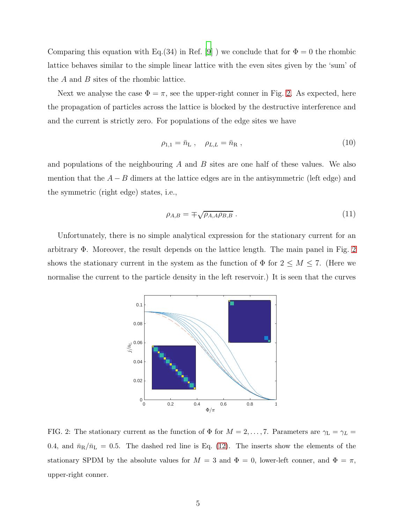Comparing this equation with Eq.(34) in Ref. [\[9\]](#page-8-2) ) we conclude that for  $\Phi = 0$  the rhombic lattice behaves similar to the simple linear lattice with the even sites given by the 'sum' of the  $A$  and  $B$  sites of the rhombic lattice.

Next we analyse the case  $\Phi = \pi$ , see the upper-right conner in Fig. [2.](#page-4-0) As expected, here the propagation of particles across the lattice is blocked by the destructive interference and and the current is strictly zero. For populations of the edge sites we have

$$
\rho_{1,1} = \bar{n}_{\rm L} \ , \quad \rho_{L,L} = \bar{n}_{\rm R} \ , \tag{10}
$$

and populations of the neighbouring  $A$  and  $B$  sites are one half of these values. We also mention that the  $A - B$  dimers at the lattice edges are in the antisymmetric (left edge) and the symmetric (right edge) states, i.e.,

$$
\rho_{A,B} = \pm \sqrt{\rho_{A,A} \rho_{B,B}} \tag{11}
$$

Unfortunately, there is no simple analytical expression for the stationary current for an arbitrary Φ. Moreover, the result depends on the lattice length. The main panel in Fig. [2](#page-4-0) shows the stationary current in the system as the function of  $\Phi$  for  $2 \leq M \leq 7$ . (Here we normalise the current to the particle density in the left reservoir.) It is seen that the curves



<span id="page-4-0"></span>FIG. 2: The stationary current as the function of  $\Phi$  for  $M = 2, ..., 7$ . Parameters are  $\gamma_L = \gamma_L =$ 0.4, and  $\bar{n}_{R}/\bar{n}_{L} = 0.5$ . The dashed red line is Eq. [\(12\)](#page-5-0). The inserts show the elements of the stationary SPDM by the absolute values for  $M = 3$  and  $\Phi = 0$ , lower-left conner, and  $\Phi = \pi$ , upper-right conner.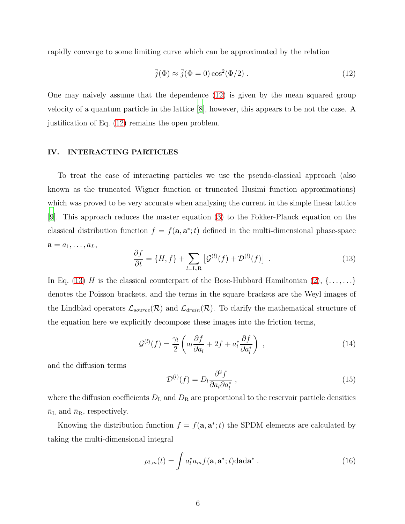rapidly converge to some limiting curve which can be approximated by the relation

<span id="page-5-0"></span>
$$
\bar{j}(\Phi) \approx \bar{j}(\Phi = 0) \cos^2(\Phi/2) . \qquad (12)
$$

One may naively assume that the dependence [\(12\)](#page-5-0) is given by the mean squared group velocity of a quantum particle in the lattice [\[8](#page-8-7)], however, this appears to be not the case. A justification of Eq. [\(12\)](#page-5-0) remains the open problem.

### IV. INTERACTING PARTICLES

To treat the case of interacting particles we use the pseudo-classical approach (also known as the truncated Wigner function or truncated Husimi function approximations) which was proved to be very accurate when analysing the current in the simple linear lattice [\[9](#page-8-2)]. This approach reduces the master equation [\(3\)](#page-2-1) to the Fokker-Planck equation on the classical distribution function  $f = f(\mathbf{a}, \mathbf{a}^*; t)$  defined in the multi-dimensional phase-space  $\mathbf{a} = a_1, \ldots, a_L,$ 

<span id="page-5-1"></span>
$$
\frac{\partial f}{\partial t} = \{H, f\} + \sum_{l=L,R} \left[ \mathcal{G}^{(l)}(f) + \mathcal{D}^{(l)}(f) \right] \tag{13}
$$

In Eq. [\(13\)](#page-5-1) H is the classical counterpart of the Bose-Hubbard Hamiltonian  $(2), \{ \ldots, \ldots \}$ denotes the Poisson brackets, and the terms in the square brackets are the Weyl images of the Lindblad operators  $\mathcal{L}_{source}(\mathcal{R})$  and  $\mathcal{L}_{drain}(\mathcal{R})$ . To clarify the mathematical structure of the equation here we explicitly decompose these images into the friction terms,

$$
\mathcal{G}^{(l)}(f) = \frac{\gamma_l}{2} \left( a_l \frac{\partial f}{\partial a_l} + 2f + a_l^* \frac{\partial f}{\partial a_l^*} \right) , \qquad (14)
$$

and the diffusion terms

$$
\mathcal{D}^{(l)}(f) = D_l \frac{\partial^2 f}{\partial a_l \partial a_l^*} \,, \tag{15}
$$

where the diffusion coefficients  $D_{\rm L}$  and  $D_{\rm R}$  are proportional to the reservoir particle densities  $\bar{n}_{\rm L}$  and  $\bar{n}_{\rm R}$ , respectively.

Knowing the distribution function  $f = f(\mathbf{a}, \mathbf{a}^*; t)$  the SPDM elements are calculated by taking the multi-dimensional integral

$$
\rho_{l,m}(t) = \int a_l^* a_m f(\mathbf{a}, \mathbf{a}^*; t) \mathrm{d} \mathbf{a} \mathrm{d} \mathbf{a}^* \; . \tag{16}
$$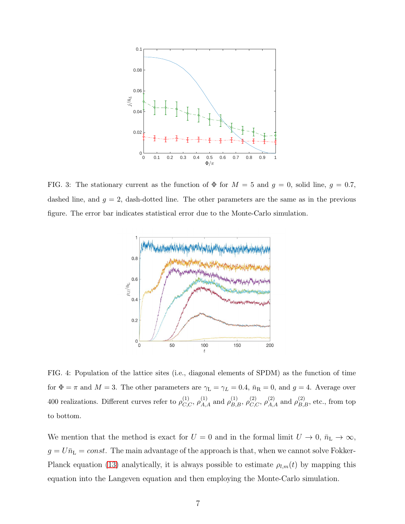

<span id="page-6-0"></span>FIG. 3: The stationary current as the function of  $\Phi$  for  $M = 5$  and  $g = 0$ , solid line,  $g = 0.7$ , dashed line, and  $g = 2$ , dash-dotted line. The other parameters are the same as in the previous figure. The error bar indicates statistical error due to the Monte-Carlo simulation.



<span id="page-6-1"></span>FIG. 4: Population of the lattice sites (i.e., diagonal elements of SPDM) as the function of time for  $\Phi = \pi$  and  $M = 3$ . The other parameters are  $\gamma_L = \gamma_L = 0.4$ ,  $\bar{n}_R = 0$ , and  $g = 4$ . Average over 400 realizations. Different curves refer to  $\rho_{C,C}^{(1)}$ ,  $\rho_{A,A}^{(1)}$  and  $\rho_{B,B}^{(1)}$ ,  $\rho_{C,C}^{(2)}$ ,  $\rho_{A,A}^{(2)}$  and  $\rho_{B,B}^{(2)}$ , etc., from top to bottom.

We mention that the method is exact for  $U = 0$  and in the formal limit  $U \to 0$ ,  $\bar{n}_{\text{L}} \to \infty$ ,  $g=U\bar{n}_{\rm L}=const.$  The main advantage of the approach is that, when we cannot solve Fokker-Planck equation [\(13\)](#page-5-1) analytically, it is always possible to estimate  $\rho_{l,m}(t)$  by mapping this equation into the Langeven equation and then employing the Monte-Carlo simulation.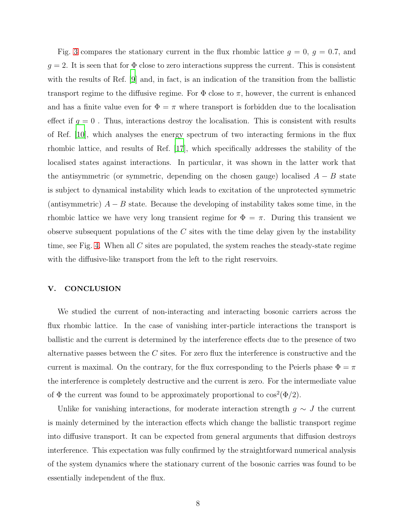Fig. [3](#page-6-0) compares the stationary current in the flux rhombic lattice  $g = 0$ ,  $g = 0.7$ , and  $g = 2$ . It is seen that for  $\Phi$  close to zero interactions suppress the current. This is consistent with the results of Ref. [\[9](#page-8-2)] and, in fact, is an indication of the transition from the ballistic transport regime to the diffusive regime. For  $\Phi$  close to  $\pi$ , however, the current is enhanced and has a finite value even for  $\Phi = \pi$  where transport is forbidden due to the localisation effect if  $g = 0$ . Thus, interactions destroy the localisation. This is consistent with results of Ref. [\[10\]](#page-8-3), which analyses the energy spectrum of two interacting fermions in the flux rhombic lattice, and results of Ref. [\[17\]](#page-9-2), which specifically addresses the stability of the localised states against interactions. In particular, it was shown in the latter work that the antisymmetric (or symmetric, depending on the chosen gauge) localised  $A - B$  state is subject to dynamical instability which leads to excitation of the unprotected symmetric (antisymmetric)  $A - B$  state. Because the developing of instability takes some time, in the rhombic lattice we have very long transient regime for  $\Phi = \pi$ . During this transient we observe subsequent populations of the  $C$  sites with the time delay given by the instability time, see Fig. [4.](#page-6-1) When all C sites are populated, the system reaches the steady-state regime with the diffusive-like transport from the left to the right reservoirs.

#### V. CONCLUSION

We studied the current of non-interacting and interacting bosonic carriers across the flux rhombic lattice. In the case of vanishing inter-particle interactions the transport is ballistic and the current is determined by the interference effects due to the presence of two alternative passes between the  $C$  sites. For zero flux the interference is constructive and the current is maximal. On the contrary, for the flux corresponding to the Peierls phase  $\Phi = \pi$ the interference is completely destructive and the current is zero. For the intermediate value of  $\Phi$  the current was found to be approximately proportional to  $\cos^2(\Phi/2)$ .

Unlike for vanishing interactions, for moderate interaction strength  $g \sim J$  the current is mainly determined by the interaction effects which change the ballistic transport regime into diffusive transport. It can be expected from general arguments that diffusion destroys interference. This expectation was fully confirmed by the straightforward numerical analysis of the system dynamics where the stationary current of the bosonic carries was found to be essentially independent of the flux.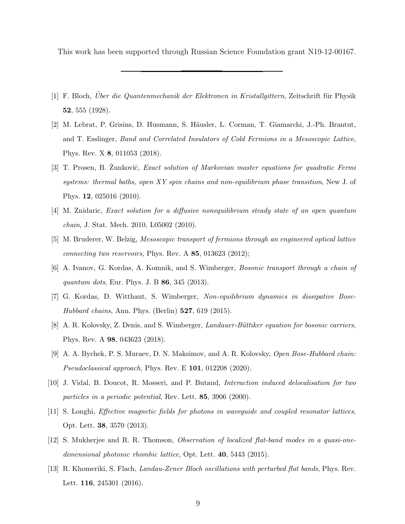This work has been supported through Russian Science Foundation grant N19-12-00167.

- <span id="page-8-0"></span>[1] F. Bloch, Uber die Quantenmechanik der Elektronen in Kristallgittern, Zeitschrift für Physik 52, 555 (1928).
- <span id="page-8-1"></span>[2] M. Lebrat, P. Grisins, D. Husmann, S. Häusler, L. Corman, T. Giamarchi, J.-Ph. Brantut, and T. Esslinger, Band and Correlated Insulators of Cold Fermions in a Mesoscopic Lattice, Phys. Rev. X 8, 011053 (2018).
- [3] T. Prosen, B. Zunkoviĉ, *Exact solution of Markovian master equations for quadratic Fermi* systems: thermal baths, open XY spin chains and non-equilibrium phase transition, New J. of Phys. 12, 025016 (2010).
- [4] M. Znidaric, Exact solution for a diffusive nonequilibrium steady state of an open quantum chain, J. Stat. Mech. 2010, L05002 (2010).
- [5] M. Bruderer, W. Belzig, Mesoscopic transport of fermions through an engineered optical lattice connecting two reservoirs, Phys. Rev. A 85, 013623 (2012);
- <span id="page-8-6"></span>[6] A. Ivanov, G. Kordas, A. Komnik, and S. Wimberger, Bosonic transport through a chain of quantum dots, Eur. Phys. J. B **86**, 345 (2013).
- [7] G. Kordas, D. Witthaut, S. Wimberger, Non-equilibrium dynamics in dissipative Bose-Hubbard chains, Ann. Phys. (Berlin) 527, 619 (2015).
- <span id="page-8-7"></span>[8] A. R. Kolovsky, Z. Denis, and S. Wimberger, *Landauer-Büttiker equation for bosonic carriers*, Phys. Rev. A 98, 043623 (2018).
- <span id="page-8-2"></span>[9] A. A. Bychek, P. S. Muraev, D. N. Maksimov, and A. R. Kolovsky, Open Bose-Hubbard chain: *Pseudoclassical approach*, Phys. Rev. E  $101$ , 012208 (2020).
- <span id="page-8-3"></span>[10] J. Vidal, B. Doucot, R. Mosseri, and P. Butaud, Interaction induced delocalisation for two particles in a periodic potential, Rev. Lett. 85, 3906 (2000).
- [11] S. Longhi, Effective magnetic fields for photons in waveguide and coupled resonator lattices, Opt. Lett. 38, 3570 (2013).
- <span id="page-8-4"></span>[12] S. Mukherjee and R. R. Thomson, Observation of localized flat-band modes in a quasi-onedimensional photonic rhombic lattice, Opt. Lett. 40, 5443 (2015).
- <span id="page-8-5"></span>[13] R. Khomeriki, S. Flach, Landau-Zener Bloch oscillations with perturbed flat bands, Phys. Rev. Lett. **116**, 245301 (2016).